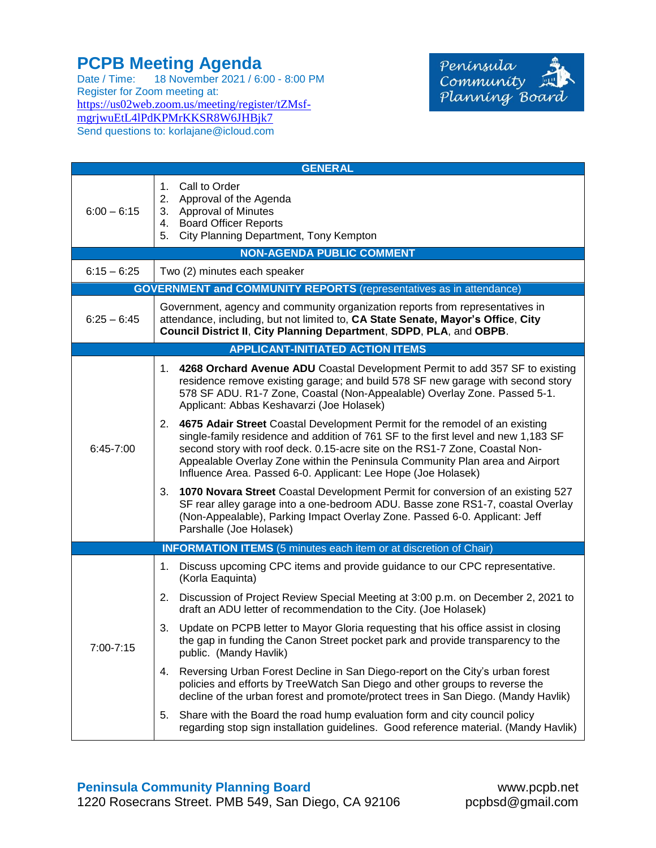## **PCPB Meeting Agenda**

Date / Time: 18 November 2021 / 6:00 - 8:00 PM Register for Zoom meeting at: [https://us02web.zoom.us/meeting/register/tZMsf](https://us02web.zoom.us/meeting/register/tZMsf-mgrjwuEtL4lPdKPMrKKSR8W6JHBjk7)[mgrjwuEtL4lPdKPMrKKSR8W6JHBjk7](https://us02web.zoom.us/meeting/register/tZMsf-mgrjwuEtL4lPdKPMrKKSR8W6JHBjk7) Send questions to: korlajane@icloud.com



| <b>GENERAL</b>                                                             |                                                                                                                                                                                                                                                                                                                                                                                                         |  |  |
|----------------------------------------------------------------------------|---------------------------------------------------------------------------------------------------------------------------------------------------------------------------------------------------------------------------------------------------------------------------------------------------------------------------------------------------------------------------------------------------------|--|--|
| $6:00 - 6:15$                                                              | 1. Call to Order<br>2. Approval of the Agenda<br>3. Approval of Minutes<br><b>Board Officer Reports</b><br>4.<br>City Planning Department, Tony Kempton<br>5.                                                                                                                                                                                                                                           |  |  |
| <b>NON-AGENDA PUBLIC COMMENT</b>                                           |                                                                                                                                                                                                                                                                                                                                                                                                         |  |  |
| $6:15 - 6:25$                                                              | Two (2) minutes each speaker                                                                                                                                                                                                                                                                                                                                                                            |  |  |
| <b>GOVERNMENT and COMMUNITY REPORTS</b> (representatives as in attendance) |                                                                                                                                                                                                                                                                                                                                                                                                         |  |  |
| $6:25 - 6:45$                                                              | Government, agency and community organization reports from representatives in<br>attendance, including, but not limited to, CA State Senate, Mayor's Office, City<br>Council District II, City Planning Department, SDPD, PLA, and OBPB.                                                                                                                                                                |  |  |
| <b>APPLICANT-INITIATED ACTION ITEMS</b>                                    |                                                                                                                                                                                                                                                                                                                                                                                                         |  |  |
| 6:45-7:00                                                                  | 1. 4268 Orchard Avenue ADU Coastal Development Permit to add 357 SF to existing<br>residence remove existing garage; and build 578 SF new garage with second story<br>578 SF ADU. R1-7 Zone, Coastal (Non-Appealable) Overlay Zone. Passed 5-1.<br>Applicant: Abbas Keshavarzi (Joe Holasek)                                                                                                            |  |  |
|                                                                            | 4675 Adair Street Coastal Development Permit for the remodel of an existing<br>2.<br>single-family residence and addition of 761 SF to the first level and new 1,183 SF<br>second story with roof deck. 0.15-acre site on the RS1-7 Zone, Coastal Non-<br>Appealable Overlay Zone within the Peninsula Community Plan area and Airport<br>Influence Area. Passed 6-0. Applicant: Lee Hope (Joe Holasek) |  |  |
|                                                                            | 1070 Novara Street Coastal Development Permit for conversion of an existing 527<br>3.<br>SF rear alley garage into a one-bedroom ADU. Basse zone RS1-7, coastal Overlay<br>(Non-Appealable), Parking Impact Overlay Zone. Passed 6-0. Applicant: Jeff<br>Parshalle (Joe Holasek)                                                                                                                        |  |  |
| <b>INFORMATION ITEMS</b> (5 minutes each item or at discretion of Chair)   |                                                                                                                                                                                                                                                                                                                                                                                                         |  |  |
| 7:00-7:15                                                                  | Discuss upcoming CPC items and provide guidance to our CPC representative.<br>1.<br>(Korla Eaquinta)                                                                                                                                                                                                                                                                                                    |  |  |
|                                                                            | 2. Discussion of Project Review Special Meeting at 3:00 p.m. on December 2, 2021 to<br>draft an ADU letter of recommendation to the City. (Joe Holasek)                                                                                                                                                                                                                                                 |  |  |
|                                                                            | 3. Update on PCPB letter to Mayor Gloria requesting that his office assist in closing<br>the gap in funding the Canon Street pocket park and provide transparency to the<br>public. (Mandy Havlik)                                                                                                                                                                                                      |  |  |
|                                                                            | 4. Reversing Urban Forest Decline in San Diego-report on the City's urban forest<br>policies and efforts by TreeWatch San Diego and other groups to reverse the<br>decline of the urban forest and promote/protect trees in San Diego. (Mandy Havlik)                                                                                                                                                   |  |  |
|                                                                            | Share with the Board the road hump evaluation form and city council policy<br>5.<br>regarding stop sign installation guidelines. Good reference material. (Mandy Havlik)                                                                                                                                                                                                                                |  |  |